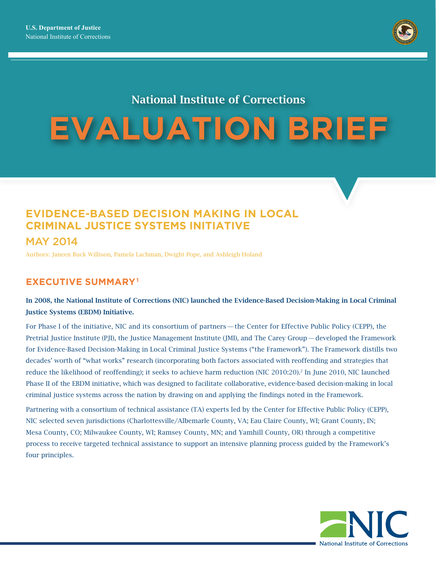

# National Institute of Corrections

# **EVALUATION BRIEF**

## **EVIDENCE-BASED DECISION MAKING IN LOCAL CRIMINAL JUSTICE SYSTEMS INITIATIVE**  MAY 2014

Authors: Janeen Buck Willison, Pamela Lachman, Dwight Pope, and Ashleigh Holand

## **EXECUTIVE SUMMARY1**

### In 2008, the National Institute of Corrections (NIC) launched the Evidence-Based Decision-Making in Local Criminal Justice Systems (EBDM) Initiative.

For Phase I of the initiative, NIC and its consortium of partners — the Center for Effective Public Policy (CEPP), the Pretrial Justice Institute (PJI), the Justice Management Institute (JMI), and The Carey Group— developed the Framework for Evidence-Based Decision-Making in Local Criminal Justice Systems ("the Framework"). The Framework distills two decades' worth of "what works" research (incorporating both factors associated with reoffending and strategies that reduce the likelihood of reoffending); it seeks to achieve harm reduction (NIC 2010:20).2 In June 2010, NIC launched Phase II of the EBDM initiative, which was designed to facilitate collaborative, evidence-based decision-making in local criminal justice systems across the nation by drawing on and applying the findings noted in the Framework.

Partnering with a consortium of technical assistance (TA) experts led by the Center for Effective Public Policy (CEPP), NIC selected seven jurisdictions (Charlottesville/Albemarle County, VA; Eau Claire County, WI; Grant County, IN; Mesa County, CO; Milwaukee County, WI; Ramsey County, MN; and Yamhill County, OR) through a competitive process to receive targeted technical assistance to support an intensive planning process guided by the Framework's four principles.

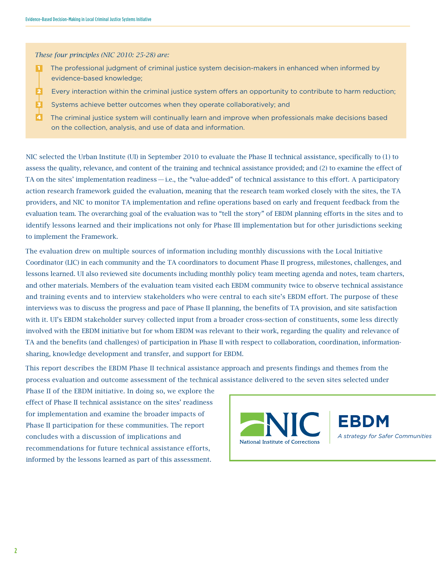*These four principles (NIC 2010: 25-28) are:* 

- 1 The professional judgment of criminal justice system decision-makers in enhanced when informed by evidence-based knowledge;
- 2 Every interaction within the criminal justice system offers an opportunity to contribute to harm reduction;
- 3 Systems achieve better outcomes when they operate collaboratively; and
- 4 The criminal justice system will continually learn and improve when professionals make decisions based on the collection, analysis, and use of data and information.

NIC selected the Urban Institute (UI) in September 2010 to evaluate the Phase II technical assistance, specifically to (1) to assess the quality, relevance, and content of the training and technical assistance provided; and (2) to examine the effect of TA on the sites' implementation readiness — i.e., the "value-added" of technical assistance to this effort. A participatory action research framework guided the evaluation, meaning that the research team worked closely with the sites, the TA providers, and NIC to monitor TA implementation and refine operations based on early and frequent feedback from the evaluation team. The overarching goal of the evaluation was to "tell the story" of EBDM planning efforts in the sites and to identify lessons learned and their implications not only for Phase III implementation but for other jurisdictions seeking to implement the Framework.

The evaluation drew on multiple sources of information including monthly discussions with the Local Initiative Coordinator (LIC) in each community and the TA coordinators to document Phase II progress, milestones, challenges, and lessons learned. UI also reviewed site documents including monthly policy team meeting agenda and notes, team charters, and other materials. Members of the evaluation team visited each EBDM community twice to observe technical assistance and training events and to interview stakeholders who were central to each site's EBDM effort. The purpose of these interviews was to discuss the progress and pace of Phase II planning, the benefits of TA provision, and site satisfaction with it. UI's EBDM stakeholder survey collected input from a broader cross-section of constituents, some less directly involved with the EBDM initiative but for whom EBDM was relevant to their work, regarding the quality and relevance of TA and the benefits (and challenges) of participation in Phase II with respect to collaboration, coordination, informationsharing, knowledge development and transfer, and support for EBDM.

This report describes the EBDM Phase II technical assistance approach and presents findings and themes from the process evaluation and outcome assessment of the technical assistance delivered to the seven sites selected under

Phase II of the EBDM initiative. In doing so, we explore the effect of Phase II technical assistance on the sites' readiness for implementation and examine the broader impacts of Phase II participation for these communities. The report concludes with a discussion of implications and recommendations for future technical assistance efforts, informed by the lessons learned as part of this assessment.

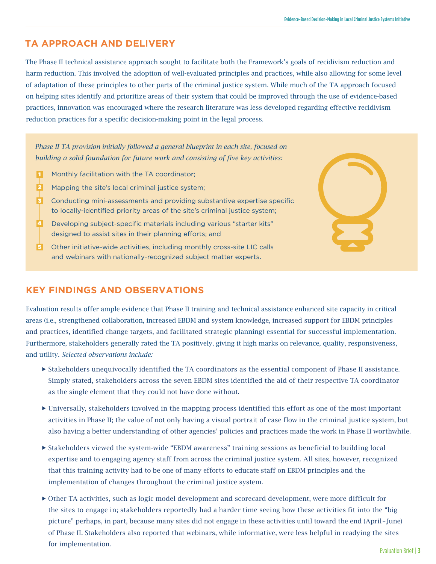## **TA APPROACH AND DELIVERY**

The Phase II technical assistance approach sought to facilitate both the Framework's goals of recidivism reduction and harm reduction. This involved the adoption of well-evaluated principles and practices, while also allowing for some level of adaptation of these principles to other parts of the criminal justice system. While much of the TA approach focused on helping sites identify and prioritize areas of their system that could be improved through the use of evidence-based practices, innovation was encouraged where the research literature was less developed regarding effective recidivism reduction practices for a specific decision-making point in the legal process.

*Phase II TA provision initially followed a general blueprint in each site, focused on building a solid foundation for future work and consisting of five key activities:*

- Monthly facilitation with the TA coordinator; 1
- Mapping the site's local criminal justice system; 2
- Conducting mini-assessments and providing substantive expertise specific to locally-identified priority areas of the site's criminal justice system; 3
- Developing subject-specific materials including various "starter kits" designed to assist sites in their planning efforts; and 4
- **5** Other initiative-wide activities, including monthly cross-site LIC calls and webinars with nationally-recognized subject matter experts.



### **KEY FINDINGS AND OBSERVATIONS**

Evaluation results offer ample evidence that Phase II training and technical assistance enhanced site capacity in critical areas (i.e., strengthened collaboration, increased EBDM and system knowledge, increased support for EBDM principles and practices, identified change targets, and facilitated strategic planning) essential for successful implementation. Furthermore, stakeholders generally rated the TA positively, giving it high marks on relevance, quality, responsiveness, and utility. *Selected observations include:*

- Stakeholders unequivocally identified the TA coordinators as the essential component of Phase II assistance. Simply stated, stakeholders across the seven EBDM sites identified the aid of their respective TA coordinator as the single element that they could not have done without.
- Universally, stakeholders involved in the mapping process identified this effort as one of the most important activities in Phase II; the value of not only having a visual portrait of case flow in the criminal justice system, but also having a better understanding of other agencies' policies and practices made the work in Phase II worthwhile.
- Stakeholders viewed the system-wide "EBDM awareness" training sessions as beneficial to building local expertise and to engaging agency staff from across the criminal justice system. All sites, however, recognized that this training activity had to be one of many efforts to educate staff on EBDM principles and the implementation of changes throughout the criminal justice system.
- Other TA activities, such as logic model development and scorecard development, were more difficult for the sites to engage in; stakeholders reportedly had a harder time seeing how these activities fit into the "big picture" perhaps, in part, because many sites did not engage in these activities until toward the end (April–June) of Phase II. Stakeholders also reported that webinars, while informative, were less helpful in readying the sites for implementation.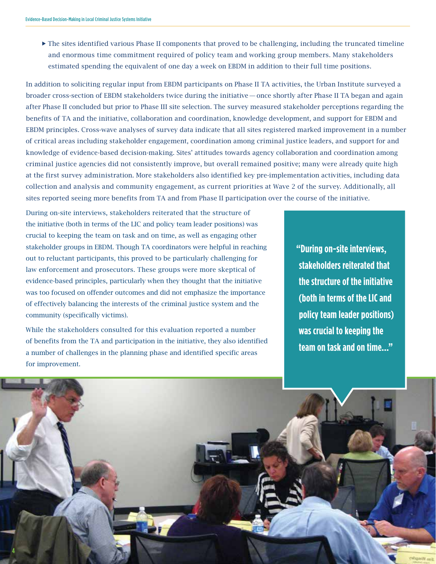$\blacktriangleright$  The sites identified various Phase II components that proved to be challenging, including the truncated timeline and enormous time commitment required of policy team and working group members. Many stakeholders estimated spending the equivalent of one day a week on EBDM in addition to their full time positions.

In addition to soliciting regular input from EBDM participants on Phase II TA activities, the Urban Institute surveyed a broader cross-section of EBDM stakeholders twice during the initiative—once shortly after Phase II TA began and again after Phase II concluded but prior to Phase III site selection. The survey measured stakeholder perceptions regarding the benefits of TA and the initiative, collaboration and coordination, knowledge development, and support for EBDM and EBDM principles. Cross-wave analyses of survey data indicate that all sites registered marked improvement in a number of critical areas including stakeholder engagement, coordination among criminal justice leaders, and support for and knowledge of evidence-based decision-making. Sites' attitudes towards agency collaboration and coordination among criminal justice agencies did not consistently improve, but overall remained positive; many were already quite high at the first survey administration. More stakeholders also identified key pre-implementation activities, including data collection and analysis and community engagement, as current priorities at Wave 2 of the survey. Additionally, all sites reported seeing more benefits from TA and from Phase II participation over the course of the initiative.

During on-site interviews, stakeholders reiterated that the structure of the initiative (both in terms of the LIC and policy team leader positions) was crucial to keeping the team on task and on time, as well as engaging other stakeholder groups in EBDM. Though TA coordinators were helpful in reaching out to reluctant participants, this proved to be particularly challenging for law enforcement and prosecutors. These groups were more skeptical of evidence-based principles, particularly when they thought that the initiative was too focused on offender outcomes and did not emphasize the importance of effectively balancing the interests of the criminal justice system and the community (specifically victims).

While the stakeholders consulted for this evaluation reported a number of benefits from the TA and participation in the initiative, they also identified a number of challenges in the planning phase and identified specific areas for improvement.

**4**

**"During on-site interviews, stakeholders reiterated that the structure of the initiative (both in terms of the LIC and policy team leader positions) was crucial to keeping the team on task and on time..."**

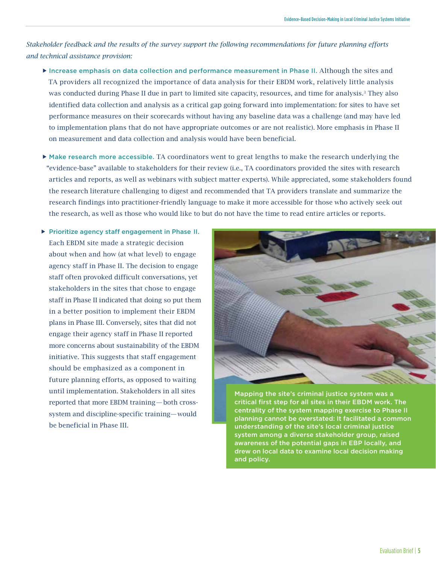*Stakeholder feedback and the results of the survey support the following recommendations for future planning efforts and technical assistance provision:*

- Increase emphasis on data collection and performance measurement in Phase II. Although the sites and TA providers all recognized the importance of data analysis for their EBDM work, relatively little analysis was conducted during Phase II due in part to limited site capacity, resources, and time for analysis.3 They also identified data collection and analysis as a critical gap going forward into implementation: for sites to have set performance measures on their scorecards without having any baseline data was a challenge (and may have led to implementation plans that do not have appropriate outcomes or are not realistic). More emphasis in Phase II on measurement and data collection and analysis would have been beneficial.
- Make research more accessible. TA coordinators went to great lengths to make the research underlying the "evidence-base" available to stakeholders for their review (i.e., TA coordinators provided the sites with research articles and reports, as well as webinars with subject matter experts). While appreciated, some stakeholders found the research literature challenging to digest and recommended that TA providers translate and summarize the research findings into practitioner-friendly language to make it more accessible for those who actively seek out the research, as well as those who would like to but do not have the time to read entire articles or reports.
- **Prioritize agency staff engagement in Phase II.** Each EBDM site made a strategic decision about when and how (at what level) to engage agency staff in Phase II. The decision to engage staff often provoked difficult conversations, yet stakeholders in the sites that chose to engage staff in Phase II indicated that doing so put them in a better position to implement their EBDM plans in Phase III. Conversely, sites that did not engage their agency staff in Phase II reported more concerns about sustainability of the EBDM initiative. This suggests that staff engagement should be emphasized as a component in future planning efforts, as opposed to waiting until implementation. Stakeholders in all sites reported that more EBDM training—both crosssystem and discipline-specific training—would be beneficial in Phase III.



Mapping the site's criminal justice system was a critical first step for all sites in their EBDM work. The centrality of the system mapping exercise to Phase II planning cannot be overstated: It facilitated a common understanding of the site's local criminal justice system among a diverse stakeholder group, raised awareness of the potential gaps in EBP locally, and drew on local data to examine local decision making and policy.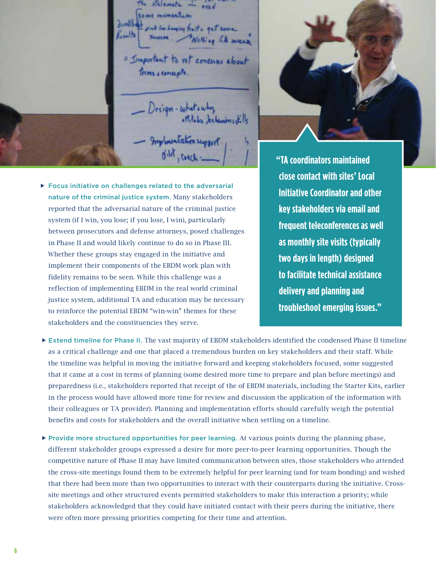statements same mementum Jurist of pick low hunging fruit a get son Kuulb Nothing like success o Important to vet concums about terms a concepts. - Design - culture why<br>attitudes , betermines dills<br>- Implementation support<br>0<sup>11</sup> , cench : 1

 Focus initiative on challenges related to the adversarial nature of the criminal justice system. Many stakeholders reported that the adversarial nature of the criminal justice system (if I win, you lose; if you lose, I win), particularly between prosecutors and defense attorneys, posed challenges in Phase II and would likely continue to do so in Phase III. Whether these groups stay engaged in the initiative and implement their components of the EBDM work plan with fidelity remains to be seen. While this challenge was a reflection of implementing EBDM in the real world criminal justice system, additional TA and education may be necessary to reinforce the potential EBDM "win-win" themes for these stakeholders and the constituencies they serve.



**"TA coordinators maintained close contact with sites' Local Initiative Coordinator and other key stakeholders via email and frequent teleconferences as well as monthly site visits (typically two days in length) designed to facilitate technical assistance delivery and planning and troubleshoot emerging issues."**

- Extend timeline for Phase II. The vast majority of EBDM stakeholders identified the condensed Phase II timeline as a critical challenge and one that placed a tremendous burden on key stakeholders and their staff. While the timeline was helpful in moving the initiative forward and keeping stakeholders focused, some suggested that it came at a cost in terms of planning (some desired more time to prepare and plan before meetings) and preparedness (i.e., stakeholders reported that receipt of the of EBDM materials, including the Starter Kits, earlier in the process would have allowed more time for review and discussion the application of the information with their colleagues or TA provider). Planning and implementation efforts should carefully weigh the potential benefits and costs for stakeholders and the overall initiative when settling on a timeline.
- $\blacktriangleright$  Provide more structured opportunities for peer learning. At various points during the planning phase, different stakeholder groups expressed a desire for more peer-to-peer learning opportunities. Though the competitive nature of Phase II may have limited communication between sites, those stakeholders who attended the cross-site meetings found them to be extremely helpful for peer learning (and for team bonding) and wished that there had been more than two opportunities to interact with their counterparts during the initiative. Crosssite meetings and other structured events permitted stakeholders to make this interaction a priority; while stakeholders acknowledged that they could have initiated contact with their peers during the initiative, there were often more pressing priorities competing for their time and attention.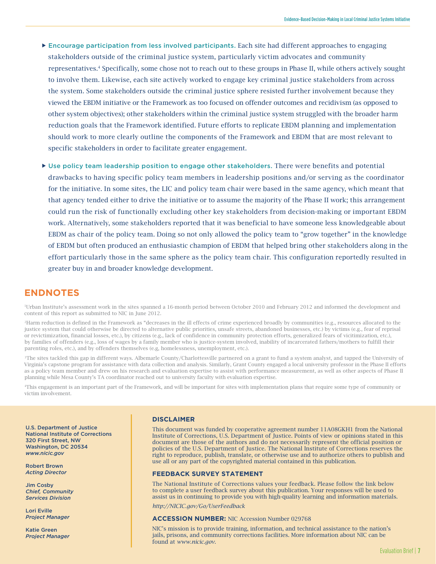- Encourage participation from less involved participants. Each site had different approaches to engaging stakeholders outside of the criminal justice system, particularly victim advocates and community representatives.4 Specifically, some chose not to reach out to these groups in Phase II, while others actively sought to involve them. Likewise, each site actively worked to engage key criminal justice stakeholders from across the system. Some stakeholders outside the criminal justice sphere resisted further involvement because they viewed the EBDM initiative or the Framework as too focused on offender outcomes and recidivism (as opposed to other system objectives); other stakeholders within the criminal justice system struggled with the broader harm reduction goals that the Framework identified. Future efforts to replicate EBDM planning and implementation should work to more clearly outline the components of the Framework and EBDM that are most relevant to specific stakeholders in order to facilitate greater engagement.
- Use policy team leadership position to engage other stakeholders. There were benefits and potential drawbacks to having specific policy team members in leadership positions and/or serving as the coordinator for the initiative. In some sites, the LIC and policy team chair were based in the same agency, which meant that that agency tended either to drive the initiative or to assume the majority of the Phase II work; this arrangement could run the risk of functionally excluding other key stakeholders from decision-making or important EBDM work. Alternatively, some stakeholders reported that it was beneficial to have someone less knowledgeable about EBDM as chair of the policy team. Doing so not only allowed the policy team to "grow together" in the knowledge of EBDM but often produced an enthusiastic champion of EBDM that helped bring other stakeholders along in the effort particularly those in the same sphere as the policy team chair. This configuration reportedly resulted in greater buy in and broader knowledge development.

### **ENDNOTES**

1Urban Institute's assessment work in the sites spanned a 16-month period between October 2010 and February 2012 and informed the development and content of this report as submitted to NIC in June 2012.

2Harm reduction is defined in the Framework as "decreases in the ill effects of crime experienced broadly by communities (e.g., resources allocated to the justice system that could otherwise be directed to alternative public priorities, unsafe streets, abandoned businesses, etc.) by victims (e.g., fear of reprisal or revictimization, financial losses, etc.), by citizens (e.g., lack of confidence in community protection efforts, generalized fears of vicitimization, etc.), by families of offenders (e.g., loss of wages by a family member who is justice-system involved, inability of incarcerated fathers/mothers to fulfill their parenting roles, etc.), and by offenders themselves (e.g, homelessness, unemployment, etc.).

<sup>3</sup>The sites tackled this gap in different ways. Albemarle County/Charlottesville partnered on a grant to fund a system analyst, and tapped the University of Virginia's capstone program for assistance with data collection and analysis. Similarly, Grant County engaged a local university professor in the Phase II efforts as a policy team member and drew on his research and evaluation expertise to assist with performance measurement, as well as other aspects of Phase II planning while Mesa County's TA coordinator reached out to university faculty with evaluation expertise.

4This engagement is an important part of the Framework, and will be important for sites with implementation plans that require some type of community or victim involvement.

U.S. Department of Justice National Institute of Corrections 320 First Street, NW Washington, DC 20534 *www.nicic.gov*

Robert Brown *Acting Director*

Jim Cosby *Chief, Community Services Division*

Lori Eville *Project Manager*

Katie Green *Project Manager*

#### **DISCLAIMER**

This document was funded by cooperative agreement number 11A08GKH1 from the National Institute of Corrections, U.S. Department of Justice. Points of view or opinions stated in this document are those of the authors and do not necessarily represent the official position or policies of the U.S. Department of Justice. The National Institute of Corrections reserves the right to reproduce, publish, translate, or otherwise use and to authorize others to publish and use all or any part of the copyrighted material contained in this publication.

#### **FEEDBACK SURVEY STATEMENT**

The National Institute of Corrections values your feedback. Please follow the link below to complete a user feedback survey about this publication. Your responses will be used to assist us in continuing to provide you with high-quality learning and information materials.

*http://NICIC.gov/Go/UserFeedback*

#### **ACCESSION NUMBER:** NIC Accession Number 029768

NIC's mission is to provide training, information, and technical assistance to the nation's jails, prisons, and community corrections facilities. More information about NIC can be found at *www.nicic.gov*.